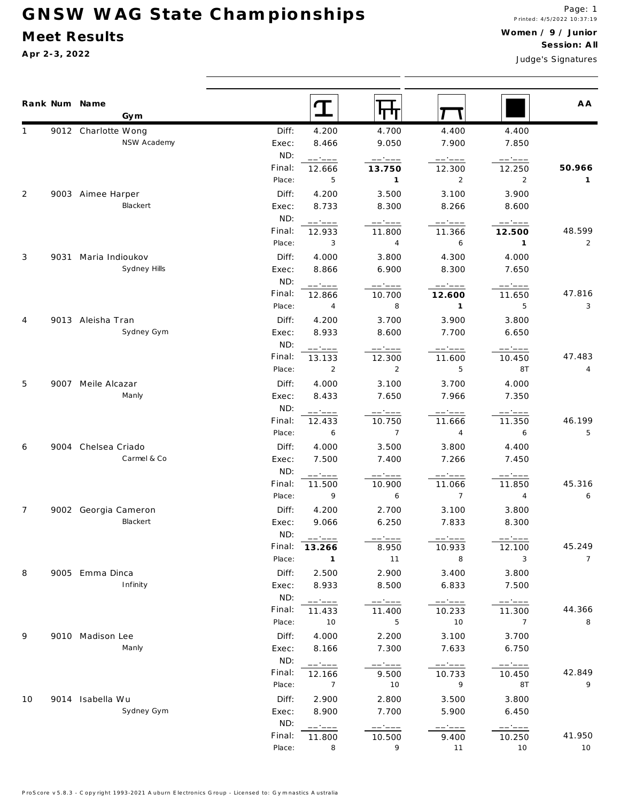## **G N S W W A G S ta te C h a m p io n sh ip s**

## **M eet Results**

**A pr 2-3, 2022**

Judge's S ignatures

|                | Rank Num Name<br>Gym               |                  | $\mathbf T$             | पा                        |                                                                                                                                                                                                                                                                                                                                                                                                                                                                                              |                                                | A A            |
|----------------|------------------------------------|------------------|-------------------------|---------------------------|----------------------------------------------------------------------------------------------------------------------------------------------------------------------------------------------------------------------------------------------------------------------------------------------------------------------------------------------------------------------------------------------------------------------------------------------------------------------------------------------|------------------------------------------------|----------------|
|                | 9012 Charlotte Wong                | Diff:            | 4.200                   | 4.700                     | 4.400                                                                                                                                                                                                                                                                                                                                                                                                                                                                                        | 4.400                                          |                |
|                | NSW Academy                        | Exec:            | 8.466                   | 9.050                     | 7.900                                                                                                                                                                                                                                                                                                                                                                                                                                                                                        | 7.850                                          |                |
|                |                                    | ND:              | ------                  | ------                    | $\begin{tabular}{cc} - & - & - \\ \hline \end{tabular}$                                                                                                                                                                                                                                                                                                                                                                                                                                      | ------                                         |                |
|                |                                    | Final:           | 12.666                  | 13.750                    | 12.300                                                                                                                                                                                                                                                                                                                                                                                                                                                                                       | 12.250                                         | 50.966         |
|                |                                    | Place:           | 5                       | $\mathbf{1}$              | $\overline{2}$                                                                                                                                                                                                                                                                                                                                                                                                                                                                               | $\overline{2}$                                 | 1              |
| 2              | 9003 Aimee Harper                  | Diff:            | 4.200                   | 3.500                     | 3.100                                                                                                                                                                                                                                                                                                                                                                                                                                                                                        | 3.900                                          |                |
|                | Blackert                           | Exec:            | 8.733                   | 8.300                     | 8.266                                                                                                                                                                                                                                                                                                                                                                                                                                                                                        | 8.600                                          |                |
|                |                                    | ND:              | ------                  | ------                    | ------                                                                                                                                                                                                                                                                                                                                                                                                                                                                                       | ------                                         |                |
|                |                                    | Final:           | 12.933                  | 11.800                    | 11.366                                                                                                                                                                                                                                                                                                                                                                                                                                                                                       | 12.500                                         | 48.599         |
|                |                                    | Place:           | 3                       | $\overline{4}$            | 6                                                                                                                                                                                                                                                                                                                                                                                                                                                                                            | $\overline{1}$                                 | $\overline{2}$ |
| 3              | 9031 Maria Indioukov               | Diff:            | 4.000                   | 3.800                     | 4.300                                                                                                                                                                                                                                                                                                                                                                                                                                                                                        | 4.000                                          |                |
|                | Sydney Hills                       | Exec:            | 8.866                   | 6.900                     | 8.300                                                                                                                                                                                                                                                                                                                                                                                                                                                                                        | 7.650                                          |                |
|                |                                    | ND:              | ------                  |                           | $---:---$                                                                                                                                                                                                                                                                                                                                                                                                                                                                                    |                                                |                |
|                |                                    | Final:           | 12.866                  | 10.700                    | 12.600                                                                                                                                                                                                                                                                                                                                                                                                                                                                                       | 11.650                                         | 47.816         |
|                |                                    | Place:           | 4                       | 8                         | $\mathbf{1}$                                                                                                                                                                                                                                                                                                                                                                                                                                                                                 | 5                                              | 3              |
| $\overline{4}$ | 9013 Aleisha Tran                  | Diff:            | 4.200                   | 3.700                     | 3.900                                                                                                                                                                                                                                                                                                                                                                                                                                                                                        | 3.800                                          |                |
|                | Sydney Gym                         | Exec:            | 8.933                   | 8.600                     | 7.700                                                                                                                                                                                                                                                                                                                                                                                                                                                                                        | 6.650                                          |                |
|                |                                    | ND:              | ------                  | ------                    | $---:---$                                                                                                                                                                                                                                                                                                                                                                                                                                                                                    | $---:---$                                      |                |
|                |                                    | Final:           | 13.133                  | 12.300                    | 11.600                                                                                                                                                                                                                                                                                                                                                                                                                                                                                       | 10.450                                         | 47.483         |
|                |                                    | Place:           | $\overline{2}$          | $\overline{2}$            | 5                                                                                                                                                                                                                                                                                                                                                                                                                                                                                            | 8T                                             | 4              |
| 5              | 9007 Meile Alcazar                 | Diff:            | 4.000                   | 3.100                     | 3.700                                                                                                                                                                                                                                                                                                                                                                                                                                                                                        | 4.000                                          |                |
|                | Manly                              | Exec:            | 8.433                   | 7.650                     | 7.966                                                                                                                                                                                                                                                                                                                                                                                                                                                                                        | 7.350                                          |                |
|                |                                    | ND:              | ------                  | ------                    | $---:---$                                                                                                                                                                                                                                                                                                                                                                                                                                                                                    | ------                                         |                |
|                |                                    | Final:<br>Place: | 12.433<br>6             | 10.750<br>$\overline{7}$  | 11.666<br>4                                                                                                                                                                                                                                                                                                                                                                                                                                                                                  | 11.350<br>6                                    | 46.199<br>5    |
|                |                                    |                  |                         |                           |                                                                                                                                                                                                                                                                                                                                                                                                                                                                                              |                                                |                |
| 6              | 9004 Chelsea Criado<br>Carmel & Co | Diff:<br>Exec:   | 4.000<br>7.500          | 3.500<br>7.400            | 3.800<br>7.266                                                                                                                                                                                                                                                                                                                                                                                                                                                                               | 4.400<br>7.450                                 |                |
|                |                                    | ND:              |                         |                           |                                                                                                                                                                                                                                                                                                                                                                                                                                                                                              |                                                |                |
|                |                                    | Final:           | ------<br>11.500        | ------<br>10.900          | -----<br>11.066                                                                                                                                                                                                                                                                                                                                                                                                                                                                              | ------<br>11.850                               | 45.316         |
|                |                                    | Place:           | 9                       | 6                         | $7\overline{ }$                                                                                                                                                                                                                                                                                                                                                                                                                                                                              | $\overline{4}$                                 | 6              |
| $\overline{7}$ | 9002 Georgia Cameron               | Diff:            | 4.200                   | 2.700                     | 3.100                                                                                                                                                                                                                                                                                                                                                                                                                                                                                        | 3.800                                          |                |
|                | Blackert                           | Exec:            | 9.066                   | 6.250                     | 7.833                                                                                                                                                                                                                                                                                                                                                                                                                                                                                        | 8.300                                          |                |
|                |                                    | ND:              |                         |                           |                                                                                                                                                                                                                                                                                                                                                                                                                                                                                              |                                                |                |
|                |                                    |                  | ------<br>Final: 13.266 | 8.950                     | $---:---$<br>10.933                                                                                                                                                                                                                                                                                                                                                                                                                                                                          | ------<br>12.100                               | 45.249         |
|                |                                    | Place:           | $\overline{1}$          | 11                        | 8                                                                                                                                                                                                                                                                                                                                                                                                                                                                                            | 3                                              | $\overline{7}$ |
| 8              | 9005 Emma Dinca                    | Diff:            | 2.500                   | 2.900                     | 3.400                                                                                                                                                                                                                                                                                                                                                                                                                                                                                        | 3.800                                          |                |
|                | Infinity                           | Exec:            | 8.933                   | 8.500                     | 6.833                                                                                                                                                                                                                                                                                                                                                                                                                                                                                        | 7.500                                          |                |
|                |                                    | ND:              | ------                  | $\qquad \qquad - - - - -$ | $\qquad \qquad \  \  \, - \, - \, - \, - \, -$                                                                                                                                                                                                                                                                                                                                                                                                                                               | $\qquad \qquad \  \  \, - \, - \, - \, - \, -$ |                |
|                |                                    | Final:           | 11.433                  | 11.400                    | 10.233                                                                                                                                                                                                                                                                                                                                                                                                                                                                                       | 11.300                                         | 44.366         |
|                |                                    | Place:           | 10                      | 5                         | 10                                                                                                                                                                                                                                                                                                                                                                                                                                                                                           | $\overline{7}$                                 | 8              |
| 9              | 9010 Madison Lee                   | Diff:            | 4.000                   | 2.200                     | 3.100                                                                                                                                                                                                                                                                                                                                                                                                                                                                                        | 3.700                                          |                |
|                | Manly                              | Exec:            | 8.166                   | 7.300                     | 7.633                                                                                                                                                                                                                                                                                                                                                                                                                                                                                        | 6.750                                          |                |
|                |                                    | ND:              | ------                  | ------                    | $\begin{tabular}{ll} \multicolumn{2}{c} {\textbf{1}} & \multicolumn{2}{c} {\textbf{2}} & \multicolumn{2}{c} {\textbf{3}} & \multicolumn{2}{c} {\textbf{4}} & \multicolumn{2}{c} {\textbf{5}} & \multicolumn{2}{c} {\textbf{6}} & \multicolumn{2}{c} {\textbf{7}} & \multicolumn{2}{c} {\textbf{8}} & \multicolumn{2}{c} {\textbf{9}} & \multicolumn{2}{c} {\textbf{1}} & \multicolumn{2}{c} {\textbf{1}} & \multicolumn{2}{c} {\textbf{1}} & \multicolumn{2}{c} {\textbf{1}} & \multicolumn$ | ------                                         |                |
|                |                                    | Final:           | 12.166                  | 9.500                     | 10.733                                                                                                                                                                                                                                                                                                                                                                                                                                                                                       | 10.450                                         | 42.849         |
|                |                                    | Place:           | $\overline{7}$          | 10                        | 9                                                                                                                                                                                                                                                                                                                                                                                                                                                                                            | 8T                                             | 9              |
| 10             | 9014 Isabella Wu                   | Diff:            | 2.900                   | 2.800                     | 3.500                                                                                                                                                                                                                                                                                                                                                                                                                                                                                        | 3.800                                          |                |
|                | Sydney Gym                         | Exec:            | 8.900                   | 7.700                     | 5.900                                                                                                                                                                                                                                                                                                                                                                                                                                                                                        | 6.450                                          |                |
|                |                                    | ND:              | ------                  | ------                    | $--- \cdot --- -$                                                                                                                                                                                                                                                                                                                                                                                                                                                                            | —————                                          |                |
|                |                                    | Final:           | 11.800                  | 10.500                    | 9.400                                                                                                                                                                                                                                                                                                                                                                                                                                                                                        | 10.250                                         | 41.950         |
|                |                                    | Place:           | 8                       | 9                         | 11                                                                                                                                                                                                                                                                                                                                                                                                                                                                                           | 10                                             | 10             |